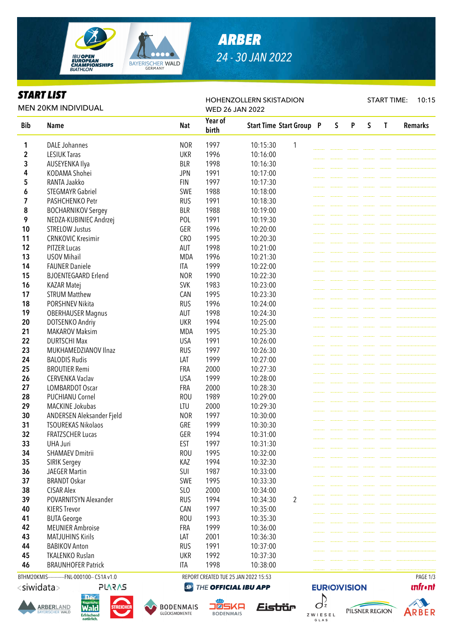

# *ARBER 24 - 30 JAN 2022*

### *START LIST*

MEN 20KM INDIVIDUAL

#### HOHENZOLLERN SKISTADION WED 26 JAN 2022

START TIME: 10:15

| <b>Bib</b> | <b>Name</b>                | Nat             | Year of | <b>Start Time Start Group P</b> |                | S | P | S | T | <b>Remarks</b> |
|------------|----------------------------|-----------------|---------|---------------------------------|----------------|---|---|---|---|----------------|
|            |                            |                 | birth   |                                 |                |   |   |   |   |                |
| 1          | <b>DALE Johannes</b>       | <b>NOR</b>      | 1997    | 10:15:30                        | $\mathbf{1}$   |   |   |   |   |                |
| 2          | <b>LESIUK Taras</b>        | <b>UKR</b>      | 1996    | 10:16:00                        |                |   |   |   |   |                |
| 3          | AUSEYENKA Ilya             | <b>BLR</b>      | 1998    | 10:16:30                        |                |   |   |   |   |                |
| 4          | KODAMA Shohei              | <b>JPN</b>      | 1991    | 10:17:00                        |                |   |   |   |   |                |
| 5          | RANTA Jaakko               | <b>FIN</b>      | 1997    | 10:17:30                        |                |   |   |   |   |                |
| 6          | <b>STEGMAYR Gabriel</b>    | SWE             | 1988    | 10:18:00                        |                |   |   |   |   |                |
| 7          | PASHCHENKO Petr            | <b>RUS</b>      | 1991    | 10:18:30                        |                |   |   |   |   |                |
| 8          | <b>BOCHARNIKOV Sergey</b>  | <b>BLR</b>      | 1988    | 10:19:00                        |                |   |   |   |   |                |
| 9          | NEDZA-KUBINIEC Andrzej     | POL             | 1991    | 10:19:30                        |                |   |   |   |   |                |
| 10         | <b>STRELOW Justus</b>      | GER             | 1996    | 10:20:00                        |                |   |   |   |   |                |
| 11         | <b>CRNKOVIC Kresimir</b>   | CR <sub>O</sub> | 1995    | 10:20:30                        |                |   |   |   |   |                |
| 12         | <b>PITZER Lucas</b>        | AUT             | 1998    | 10:21:00                        |                |   |   |   |   |                |
| 13         | <b>USOV Mihail</b>         | <b>MDA</b>      | 1996    | 10:21:30                        |                |   |   |   |   |                |
| 14         | <b>FAUNER Daniele</b>      | ITA             | 1999    | 10:22:00                        |                |   |   |   |   |                |
| 15         | <b>BJOENTEGAARD Erlend</b> | <b>NOR</b>      | 1990    | 10:22:30                        |                |   |   |   |   |                |
| 16         | <b>KAZAR Matej</b>         | <b>SVK</b>      | 1983    | 10:23:00                        |                |   |   |   |   |                |
| 17         | <b>STRUM Matthew</b>       | CAN             | 1995    | 10:23:30                        |                |   |   |   |   |                |
| 18         | PORSHNEV Nikita            | <b>RUS</b>      | 1996    | 10:24:00                        |                |   |   |   |   |                |
| 19         | <b>OBERHAUSER Magnus</b>   | AUT             | 1998    | 10:24:30                        |                |   |   |   |   |                |
| 20         | DOTSENKO Andriy            | <b>UKR</b>      | 1994    | 10:25:00                        |                |   |   |   |   |                |
| 21         | <b>MAKAROV Maksim</b>      | <b>MDA</b>      | 1995    | 10:25:30                        |                |   |   |   |   |                |
| 22         | <b>DURTSCHI Max</b>        | <b>USA</b>      | 1991    | 10:26:00                        |                |   |   |   |   |                |
| 23         | MUKHAMEDZIANOV Ilnaz       | <b>RUS</b>      | 1997    | 10:26:30                        |                |   |   |   |   |                |
| 24         | <b>BALODIS Rudis</b>       | LAT             | 1999    | 10:27:00                        |                |   |   |   |   |                |
| 25         | <b>BROUTIER Remi</b>       | <b>FRA</b>      | 2000    | 10:27:30                        |                |   |   |   |   |                |
| 26         | <b>CERVENKA Vaclav</b>     | <b>USA</b>      | 1999    | 10:28:00                        |                |   |   |   |   |                |
| 27         | LOMBARDOT Oscar            | <b>FRA</b>      | 2000    | 10:28:30                        |                |   |   |   |   |                |
| 28         | PUCHIANU Cornel            | <b>ROU</b>      | 1989    | 10:29:00                        |                |   |   |   |   |                |
| 29         | MACKINE Jokubas            | LTU             | 2000    | 10:29:30                        |                |   |   |   |   |                |
| 30         | ANDERSEN Aleksander Fjeld  | <b>NOR</b>      | 1997    | 10:30:00                        |                |   |   |   |   |                |
| 31         | <b>TSOUREKAS Nikolaos</b>  | GRE             | 1999    | 10:30:30                        |                |   |   |   |   |                |
| 32         | <b>FRATZSCHER Lucas</b>    | GER             | 1994    | 10:31:00                        |                |   |   |   |   |                |
| 33         | <b>UHA Juri</b>            | EST             | 1997    | 10:31:30                        |                |   |   |   |   |                |
| 34         | <b>SHAMAEV Dmitrii</b>     | <b>ROU</b>      | 1995    | 10:32:00                        |                |   |   |   |   |                |
| 35         | SIRIK Sergey               | KAZ             | 1994    | 10:32:30                        |                |   |   |   |   |                |
| 36         | <b>JAEGER Martin</b>       | SUI             | 1987    | 10:33:00                        |                |   |   |   |   |                |
| 37         | <b>BRANDT Oskar</b>        | SWE             | 1995    | 10:33:30                        |                |   |   |   |   |                |
| 38         | <b>CISAR Alex</b>          | SLO             | 2000    | 10:34:00                        |                |   |   |   |   |                |
| 39         | POVARNITSYN Alexander      | <b>RUS</b>      | 1994    | 10:34:30                        | $\overline{2}$ |   |   |   |   |                |
| 40         | <b>KIERS Trevor</b>        | CAN             | 1997    | 10:35:00                        |                |   |   |   |   |                |
| 41         | <b>BUTA George</b>         | <b>ROU</b>      | 1993    | 10:35:30                        |                |   |   |   |   |                |
| 42         | <b>MEUNIER Ambroise</b>    | FRA             | 1999    | 10:36:00                        |                |   |   |   |   |                |
| 43         | <b>MATJUHINS Kirils</b>    | LAT             | 2001    | 10:36:30                        |                |   |   |   |   |                |
| 44         | <b>BABIKOV Anton</b>       | <b>RUS</b>      | 1991    | 10:37:00                        |                |   |   |   |   |                |
| 45         | <b>TKALENKO Ruslan</b>     | <b>UKR</b>      | 1992    | 10:37:30                        |                |   |   |   |   |                |
| 46         | <b>BRAUNHOFER Patrick</b>  | ITA             | 1998    | 10:38:00                        |                |   |   |   |   |                |

BTHM20KMIS-----------FNL-000100-- C51A v1.0 REPORT CREATED TUE 25 JAN 2022 15:53 PAGE 1/3

<siwidata>







**@** THE OFFICIAL IBU APP





**EURIO)VISION** 

PILSNER REGION



**ARBER**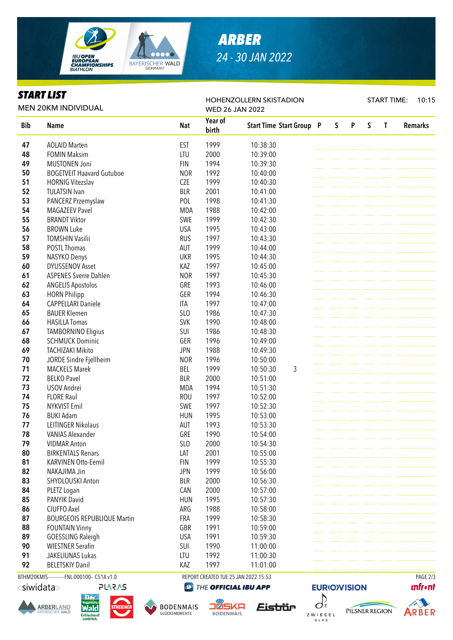

## *ARBER 24 - 30 JAN 2022*

## *START LIST*

MEN 20KM INDIVIDUAL

#### HOHENZOLLERN SKISTADION WED 26 JAN 2022

START TIME: 10:15

| <b>Bib</b> |                                    |            | Year of | <b>Start Time Start Group P</b> | S | P | S | T | <b>Remarks</b> |
|------------|------------------------------------|------------|---------|---------------------------------|---|---|---|---|----------------|
|            | <b>Name</b>                        | <b>Nat</b> | birth   |                                 |   |   |   |   |                |
| 47         | <b>AOLAID Marten</b>               | <b>EST</b> | 1999    | 10:38:30                        |   |   |   |   |                |
| 48         | <b>FOMIN Maksim</b>                | LTU        | 2000    | 10:39:00                        |   |   |   |   |                |
| 49         | <b>MUSTONEN Joni</b>               | <b>FIN</b> | 1994    | 10:39:30                        |   |   |   |   |                |
| 50         | <b>BOGETVEIT Haavard Gutuboe</b>   | <b>NOR</b> | 1992    | 10:40:00                        |   |   |   |   |                |
| 51         | <b>HORNIG Vitezslav</b>            | <b>CZE</b> | 1999    | 10:40:30                        |   |   |   |   |                |
| 52         | <b>TULATSIN Ivan</b>               | <b>BLR</b> | 2001    | 10:41:00                        |   |   |   |   |                |
| 53         | PANCERZ Przemyslaw                 | POL        | 1998    | 10:41:30                        |   |   |   |   |                |
| 54         | <b>MAGAZEEV Pavel</b>              | <b>MDA</b> | 1988    | 10:42:00                        |   |   |   |   |                |
| 55         | <b>BRANDT Viktor</b>               | SWE        | 1999    | 10:42:30                        |   |   |   |   |                |
| 56         | <b>BROWN Luke</b>                  | <b>USA</b> | 1995    | 10:43:00                        |   |   |   |   |                |
| 57         | <b>TOMSHIN Vasilii</b>             | <b>RUS</b> | 1997    | 10:43:30                        |   |   |   |   |                |
| 58         | POSTL Thomas                       | <b>AUT</b> | 1999    | 10:44:00                        |   |   |   |   |                |
| 59         | NASYKO Denys                       | <b>UKR</b> | 1995    | 10:44:30                        |   |   |   |   |                |
| 60         | <b>DYUSSENOV Asset</b>             | KAZ        | 1997    | 10:45:00                        |   |   |   |   |                |
| 61         | <b>ASPENES Sverre Dahlen</b>       | <b>NOR</b> | 1997    | 10:45:30                        |   |   |   |   |                |
| 62         | <b>ANGELIS Apostolos</b>           | GRE        | 1993    | 10:46:00                        |   |   |   |   |                |
| 63         | <b>HORN Philipp</b>                | GER        | 1994    | 10:46:30                        |   |   |   |   |                |
| 64         | <b>CAPPELLARI Daniele</b>          | ITA        | 1997    | 10:47:00                        |   |   |   |   |                |
| 65         | <b>BAUER Klemen</b>                | SLO        | 1986    | 10:47:30                        |   |   |   |   |                |
| 66         | <b>HASILLA Tomas</b>               | <b>SVK</b> | 1990    | 10:48:00                        |   |   |   |   |                |
| 67         | <b>TAMBORNINO Eligius</b>          | SUI        | 1986    | 10:48:30                        |   |   |   |   |                |
| 68         | <b>SCHMUCK Dominic</b>             | GER        | 1996    | 10:49:00                        |   |   |   |   |                |
| 69         | <b>TACHIZAKI Mikito</b>            | <b>JPN</b> | 1988    | 10:49:30                        |   |   |   |   |                |
| 70         | JORDE Sindre Fjellheim             | <b>NOR</b> | 1996    | 10:50:00                        |   |   |   |   |                |
| 71         | <b>MACKELS Marek</b>               | <b>BEL</b> | 1999    | 3<br>10:50:30                   |   |   |   |   |                |
| 72         | <b>BELKO Pavel</b>                 | <b>BLR</b> | 2000    | 10:51:00                        |   |   |   |   |                |
| 73         | USOV Andrei                        | <b>MDA</b> | 1994    | 10:51:30                        |   |   |   |   |                |
| 74         | <b>FLORE Raul</b>                  | <b>ROU</b> | 1997    | 10:52:00                        |   |   |   |   |                |
| 75         | <b>NYKVIST Emil</b>                | SWE        | 1997    | 10:52:30                        |   |   |   |   |                |
| 76         | <b>BUKI Adam</b>                   | <b>HUN</b> | 1995    | 10:53:00                        |   |   |   |   |                |
| 77         | <b>LEITINGER Nikolaus</b>          | <b>AUT</b> | 1993    | 10:53:30                        |   |   |   |   |                |
| 78         | <b>VANIAS Alexander</b>            | GRE        | 1990    | 10:54:00                        |   |   |   |   |                |
| 79         | <b>VIDMAR Anton</b>                | SLO        | 2000    | 10:54:30                        |   |   |   |   |                |
| 80         | <b>BIRKENTALS Renars</b>           | LAT        | 2001    | 10:55:00                        |   |   |   |   |                |
| 81         | KARVINEN Otto-Eemil                | <b>FIN</b> | 1999    | 10:55:30                        |   |   |   |   |                |
| 82         | NAKAJIMA Jin                       | <b>JPN</b> | 1999    | 10:56:00                        |   |   |   |   |                |
| 83         | SHYDLOUSKI Anton                   | <b>BLR</b> | 2000    | 10:56:30                        |   |   |   |   |                |
| 84         | PLETZ Logan                        | CAN        | 2000    | 10:57:00                        |   |   |   |   |                |
| 85         | PANYIK David                       | <b>HUN</b> | 1995    | 10:57:30                        |   |   |   |   |                |
| 86         | CIUFFO Axel                        | ARG        | 1988    | 10:58:00                        |   |   |   |   |                |
| 87         | <b>BOURGEOIS REPUBLIQUE Martin</b> | FRA        | 1999    | 10:58:30                        |   |   |   |   |                |
| 88         | <b>FOUNTAIN Vinny</b>              | GBR        | 1991    | 10:59:00                        |   |   |   |   |                |
| 89         | <b>GOESSLING Raleigh</b>           | <b>USA</b> | 1991    | 10:59:30                        |   |   |   |   |                |
| 90         | <b>WIESTNER Serafin</b>            | SUI        | 1990    | 11:00:00                        |   |   |   |   |                |
| 91         | JAKELIUNAS Lukas                   | LTU        | 1992    | 11:00:30                        |   |   |   |   |                |
| 92         | <b>BELETSKIY Danil</b>             | KAZ        | 1997    | 11:01:00                        |   |   |   |   |                |

BTHM20KMIS-----------FNL-000100-- C51A v1.0 REPORT CREATED TUE 25 JAN 2022 15:53 PAGE 2/3

<siwidata>





**PLARAS** 



THE OFFICIAL IBU APP **OBSKA BODENMAIS** 







A

**ARBER**